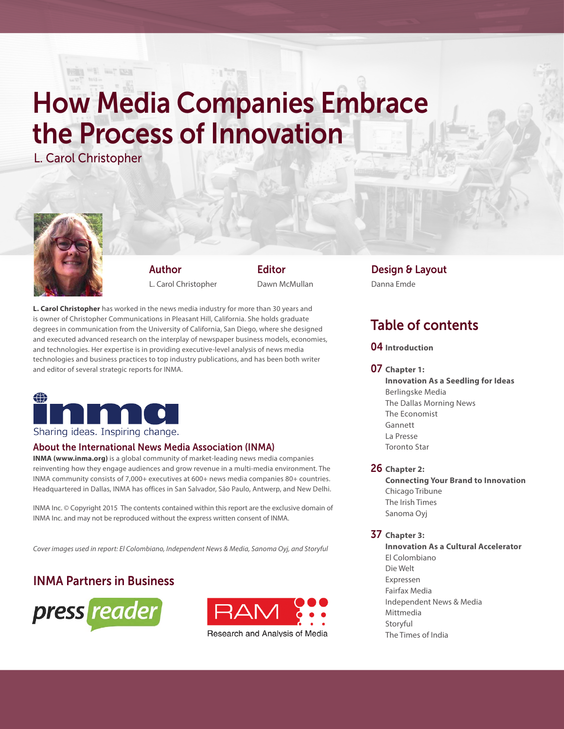# How Media Companies Embrace the Process of Innovation L. Carol Christopher

Author L. Carol Christopher

Editor Dawn McMullan

**L. Carol Christopher** has worked in the news media industry for more than 30 years and is owner of Christopher Communications in Pleasant Hill, California. She holds graduate degrees in communication from the University of California, San Diego, where she designed and executed advanced research on the interplay of newspaper business models, economies, and technologies. Her expertise is in providing executive-level analysis of news media technologies and business practices to top industry publications, and has been both writer and editor of several strategic reports for INMA.



**HEL WIT DAY** 

### About the International News Media Association (INMA)

**INMA (www.inma.org)** is a global community of market-leading news media companies reinventing how they engage audiences and grow revenue in a multi-media environment. The INMA community consists of 7,000+ executives at 600+ news media companies 80+ countries. Headquartered in Dallas, INMA has offices in San Salvador, São Paulo, Antwerp, and New Delhi.

INMA Inc. © Copyright 2015 The contents contained within this report are the exclusive domain of INMA Inc. and may not be reproduced without the express written consent of INMA.

*Cover images used in report: El Colombiano, Independent News & Media, Sanoma Oyj, and Storyful*

### INMA Partners in Business





Design & Layout Danna Emde

### Table of contents

04 **Introduction**

07 **Chapter 1:** 

**Innovation As a Seedling for Ideas**  Berlingske Media The Dallas Morning News The Economist Gannett La Presse Toronto Star

#### 26 **Chapter 2:**

**Connecting Your Brand to Innovation** Chicago Tribune The Irish Times Sanoma Oyj

#### 37 **Chapter 3:**

**Innovation As a Cultural Accelerator** El Colombiano Die Welt Expressen Fairfax Media Independent News & Media Mittmedia Storyful The Times of India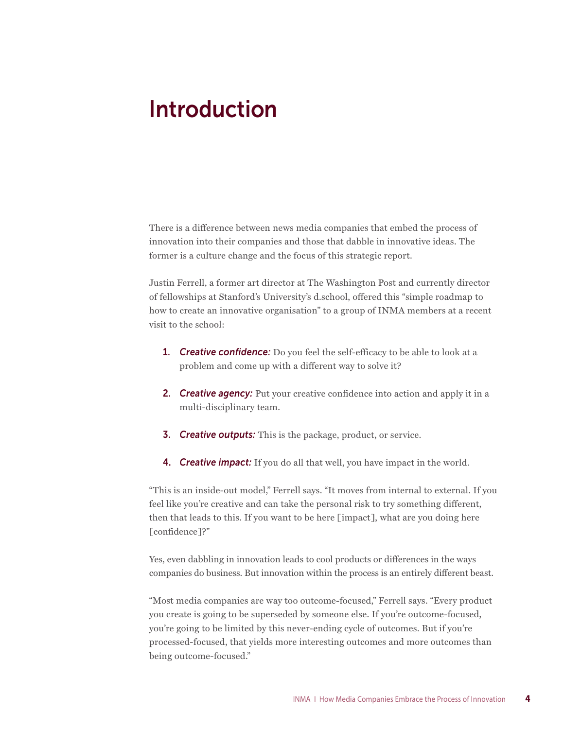## Introduction

There is a difference between news media companies that embed the process of innovation into their companies and those that dabble in innovative ideas. The former is a culture change and the focus of this strategic report.

Justin Ferrell, a former art director at The Washington Post and currently director of fellowships at Stanford's University's d.school, offered this "simple roadmap to how to create an innovative organisation" to a group of INMA members at a recent visit to the school:

- 1. *Creative confidence:* Do you feel the self-efficacy to be able to look at a problem and come up with a different way to solve it?
- **2. Creative agency:** Put your creative confidence into action and apply it in a multi-disciplinary team.
- 3. *Creative outputs:* This is the package, product, or service.
- 4. *Creative impact:* If you do all that well, you have impact in the world.

"This is an inside-out model," Ferrell says. "It moves from internal to external. If you feel like you're creative and can take the personal risk to try something different, then that leads to this. If you want to be here [impact], what are you doing here [confidence]?"

Yes, even dabbling in innovation leads to cool products or differences in the ways companies do business. But innovation within the process is an entirely different beast.

"Most media companies are way too outcome-focused," Ferrell says. "Every product you create is going to be superseded by someone else. If you're outcome-focused, you're going to be limited by this never-ending cycle of outcomes. But if you're processed-focused, that yields more interesting outcomes and more outcomes than being outcome-focused."